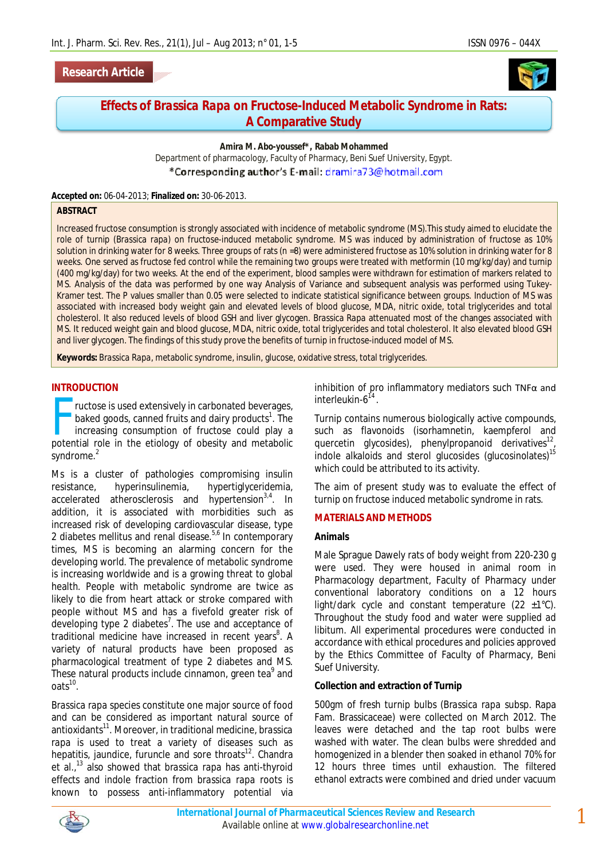# **Research Article**



# **Effects of** *Brassica Rapa* **on Fructose-Induced Metabolic Syndrome in Rats: A Comparative Study**

**Amira M. Abo-youssef\*, Rabab Mohammed** Department of pharmacology, Faculty of Pharmacy, Beni Suef University, Egypt. \*Corresponding author's E-mail: dramira73@hotmail.com

**Accepted on:** 06-04-2013; **Finalized on:** 30-06-2013.

#### **ABSTRACT**

Increased fructose consumption is strongly associated with incidence of metabolic syndrome (MS).This study aimed to elucidate the role of turnip (*Brassica rapa*) on fructose-induced metabolic syndrome. MS was induced by administration of fructose as 10% solution in drinking water for 8 weeks. Three groups of rats (n =8) were administered fructose as 10% solution in drinking water for 8 weeks. One served as fructose fed control while the remaining two groups were treated with metformin (10 mg/kg/day) and turnip (400 mg/kg/day) for two weeks. At the end of the experiment, blood samples were withdrawn for estimation of markers related to MS. Analysis of the data was performed by one way Analysis of Variance and subsequent analysis was performed using Tukey-Kramer test. The P values smaller than 0.05 were selected to indicate statistical significance between groups. Induction of MS was associated with increased body weight gain and elevated levels of blood glucose, MDA, nitric oxide, total triglycerides and total cholesterol. It also reduced levels of blood GSH and liver glycogen. *Brassica Rapa* attenuated most of the changes associated with MS. It reduced weight gain and blood glucose, MDA, nitric oxide, total triglycerides and total cholesterol. It also elevated blood GSH and liver glycogen. The findings of this study prove the benefits of turnip in fructose-induced model of MS.

**Keywords:** *Brassica Rapa,* metabolic syndrome, insulin, glucose, oxidative stress, total triglycerides.

### **INTRODUCTION**

ructose is used extensively in carbonated beverages, baked goods, canned fruits and dairy products<sup>1</sup>. The increasing consumption of fructose could play a ructose is used extensively in carbonated beverages,<br>baked goods, canned fruits and dairy products<sup>1</sup>. The<br>increasing consumption of fructose could play a<br>potential role in the etiology of obesity and metabolic syndrome.<sup>2</sup>

Ms is a cluster of pathologies compromising insulin resistance, hyperinsulinemia, hypertiglyceridemia, accelerated atherosclerosis and hypertension<sup>3,4</sup>. In addition, it is associated with morbidities such as increased risk of developing cardiovascular disease, type 2 diabetes mellitus and renal disease.<sup>5,6</sup> In contemporary times, MS is becoming an alarming concern for the developing world. The prevalence of metabolic syndrome is increasing worldwide and is a growing threat to global health. People with metabolic syndrome are twice as likely to die from heart attack or stroke compared with people without MS and has a fivefold greater risk of developing type 2 diabetes<sup>7</sup>. The use and acceptance of traditional medicine have increased in recent years<sup>8</sup>. A variety of natural products have been proposed as pharmacological treatment of type 2 diabetes and MS. These natural products include cinnamon, green tea<sup>9</sup> and  $oats<sup>10</sup>$ .

*Brassica rapa* species constitute one major source of food and can be considered as important natural source of antioxidants<sup>11</sup> . Moreover, in traditional medicine, *brassica rapa* is used to treat a variety of diseases such as hepatitis, jaundice, furuncle and sore throats<sup>12</sup>. Chandra et al., <sup>13</sup> also showed that *brassica rapa* has anti-thyroid effects and indole fraction from *brassica rapa* roots is known to possess anti-inflammatory potential via

inhibition of pro inflammatory mediators such TNFα and interleukin-6 14 .

Turnip contains numerous biologically active compounds, such as flavonoids (isorhamnetin, kaempferol and quercetin glycosides), phenylpropanoid derivatives<sup>12</sup>, indole alkaloids and sterol glucosides (glucosinolates)<sup>15</sup> which could be attributed to its activity.

The aim of present study was to evaluate the effect of turnip on fructose induced metabolic syndrome in rats.

#### **MATERIALS AND METHODS**

### **Animals**

Male Sprague Dawely rats of body weight from 220-230 g were used. They were housed in animal room in Pharmacology department, Faculty of Pharmacy under conventional laboratory conditions on a 12 hours light/dark cycle and constant temperature  $(22 \pm 1^{\circ}C)$ . Throughout the study food and water were supplied *ad libitum*. All experimental procedures were conducted in accordance with ethical procedures and policies approved by the Ethics Committee of Faculty of Pharmacy, Beni Suef University.

#### **Collection and extraction of Turnip**

500gm of fresh turnip bulbs (*Brassica rapa* subsp. Rapa Fam. Brassicaceae) were collected on March 2012. The leaves were detached and the tap root bulbs were washed with water. The clean bulbs were shredded and homogenized in a blender then soaked in ethanol 70% for 12 hours three times until exhaustion. The filtered ethanol extracts were combined and dried under vacuum

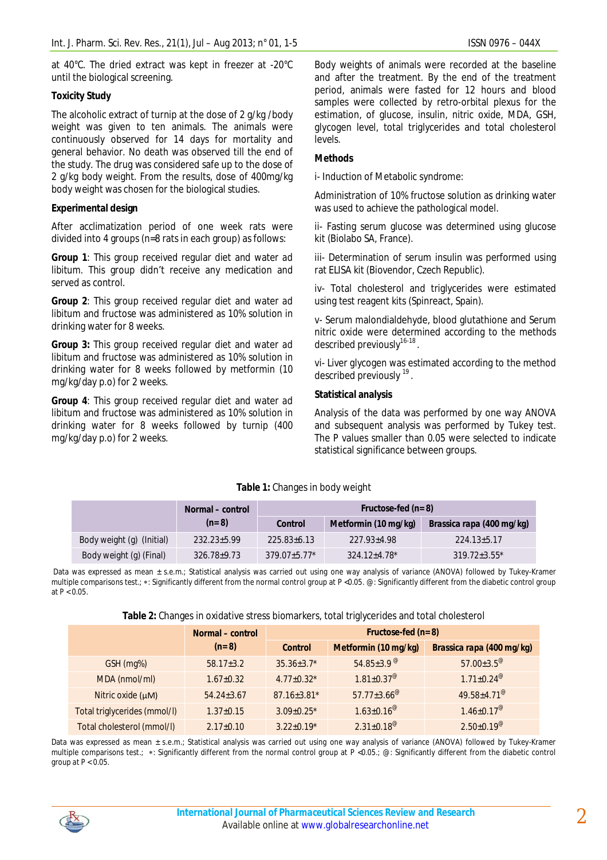at 40°C. The dried extract was kept in freezer at -20°C until the biological screening.

# **Toxicity Study**

The alcoholic extract of turnip at the dose of 2 g/kg /body weight was given to ten animals. The animals were continuously observed for 14 days for mortality and general behavior. No death was observed till the end of the study. The drug was considered safe up to the dose of 2 g/kg body weight. From the results, dose of 400mg/kg body weight was chosen for the biological studies.

# **Experimental design**

After acclimatization period of one week rats were divided into 4 groups (n=8 rats in each group) as follows:

**Group 1**: This group received regular diet and water *ad libitum*. This group didn't receive any medication and served as control.

**Group 2**: This group received regular diet and water *ad libitum* and fructose was administered as 10% solution in drinking water for 8 weeks.

**Group 3:** This group received regular diet and water *ad libitum* and fructose was administered as 10% solution in drinking water for 8 weeks followed by metformin (10 mg/kg/day p.o) for 2 weeks.

**Group 4**: This group received regular diet and water *ad libitum* and fructose was administered as 10% solution in drinking water for 8 weeks followed by turnip (400 mg/kg/day p.o) for 2 weeks.

Body weights of animals were recorded at the baseline and after the treatment. By the end of the treatment period, animals were fasted for 12 hours and blood samples were collected by retro-orbital plexus for the estimation, of glucose, insulin, nitric oxide, MDA, GSH, glycogen level, total triglycerides and total cholesterol levels.

# **Methods**

i- Induction of Metabolic syndrome:

Administration of 10% fructose solution as drinking water was used to achieve the pathological model.

ii- Fasting serum glucose was determined using glucose kit (Biolabo SA, France).

iii- Determination of serum insulin was performed using rat ELISA kit (Biovendor, Czech Republic).

iv- Total cholesterol and triglycerides were estimated using test reagent kits (Spinreact, Spain).

v- Serum malondialdehyde, blood glutathione and Serum nitric oxide were determined according to the methods described previously<sup>16-18</sup>.

vi- Liver glycogen was estimated according to the method described previously <sup>19</sup>.

# **Statistical analysis**

Analysis of the data was performed by one way ANOVA and subsequent analysis was performed by Tukey test. The P values smaller than 0.05 were selected to indicate statistical significance between groups.

|                           | Normal – control  | Fructose-fed $(n=8)$ |                      |                                  |  |
|---------------------------|-------------------|----------------------|----------------------|----------------------------------|--|
|                           | $(n=8)$           | Control              | Metformin (10 mg/kg) | <i>Brassica rapa</i> (400 mg/kg) |  |
| Body weight (g) (Initial) | $232.23 \pm 5.99$ | $225.83 \pm 6.13$    | $227.93 \pm 4.98$    | $224.13 \pm 5.17$                |  |
| Body weight (g) (Final)   | $326.78 \pm 9.73$ | $379.07 \pm 5.77$ *  | $324.12 \pm 4.78$ *  | $319.72 \pm 3.55^*$              |  |

# **Table 1:** Changes in body weight

Data was expressed as mean ± s.e.m.; Statistical analysis was carried out using one way analysis of variance (ANOVA) followed by Tukey-Kramer multiple comparisons test.; \*: Significantly different from the normal control group at P <0.05. @: Significantly different from the diabetic control group at  $P < 0.05$ .

|                              | Normal – control | Fructose-fed $(n=8)$ |                               |                                            |
|------------------------------|------------------|----------------------|-------------------------------|--------------------------------------------|
|                              | $(n=8)$          | <b>Control</b>       | Metformin (10 mg/kg)          | Brassica rapa (400 mg/kg)                  |
| GSH (mg%)                    | $58.17 \pm 3.2$  | $35.36 \pm 3.7$ *    | $54.85 \pm 3.9$ <sup>@</sup>  | $57.00 \pm 3.5^{\circ}$                    |
| MDA (nmol/ml)                | $1.67 \pm 0.32$  | $4.77 \pm 0.32$ *    | $1.81 \pm 0.37^{\circ}$       | $1.71 \pm 0.24^{\circ}$                    |
| Nitric oxide $(\mu M)$       | $54.24 \pm 3.67$ | $87.16 \pm 3.81$ *   | $57.77 \pm 3.66^{\circ\circ}$ | 49.58±4.71 <sup><math>\degree</math></sup> |
| Total triglycerides (mmol/l) | $1.37 \pm 0.15$  | $3.09 \pm 0.25$ *    | $1.63 \pm 0.16^{\circ}$       | $1.46 \pm 0.17^{\circ}$                    |
| Total cholesterol (mmol/l)   | $2.17 \pm 0.10$  | $3.22 \pm 0.19*$     | $2.31 \pm 0.18^{\circ\circ}$  | $2.50 \pm 0.19^{\circ\circ}$               |

Data was expressed as mean ± s.e.m.; Statistical analysis was carried out using one way analysis of variance (ANOVA) followed by Tukey-Kramer multiple comparisons test.; \*: Significantly different from the normal control group at P <0.05.; @: Significantly different from the diabetic control group at  $P < 0.05$ .

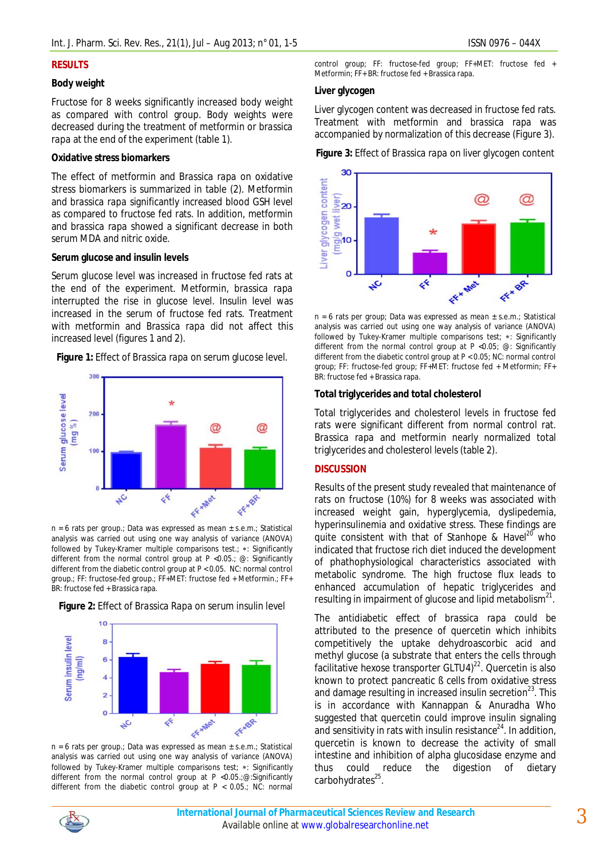#### **RESULTS**

#### **Body weight**

Fructose for 8 weeks significantly increased body weight as compared with control group. Body weights were decreased during the treatment of metformin or *brassica rapa* at the end of the experiment (table 1).

#### **Oxidative stress biomarkers**

The effect of metformin and *Brassica rapa* on oxidative stress biomarkers is summarized in table (2). Metformin and *brassica rapa* significantly increased blood GSH level as compared to fructose fed rats. In addition, metformin and *brassica rapa* showed a significant decrease in both serum MDA and nitric oxide.

#### **Serum glucose and insulin levels**

Serum glucose level was increased in fructose fed rats at the end of the experiment. Metformin, *brassica rapa* interrupted the rise in glucose level. Insulin level was increased in the serum of fructose fed rats. Treatment with metformin and *Brassica rapa* did not affect this increased level (figures 1 and 2).

**Figure 1:** Effect of *Brassica rapa* on serum glucose level.



n = 6 rats per group.; Data was expressed as mean ± s.e.m.; Statistical analysis was carried out using one way analysis of variance (ANOVA) followed by Tukey-Kramer multiple comparisons test.; \*: Significantly different from the normal control group at P <0.05.; @: Significantly different from the diabetic control group at P < 0.05. NC: normal control group.; FF: fructose-fed group.; FF+MET: fructose fed + Metformin.; FF+ BR: fructose fed + Brassica rapa.





 $n = 6$  rats per group.; Data was expressed as mean  $\pm$  s.e.m.; Statistical analysis was carried out using one way analysis of variance (ANOVA) followed by Tukey-Kramer multiple comparisons test;  $*$ : Significantly different from the normal control group at P <0.05.;@:Significantly different from the diabetic control group at P < 0.05.; NC: normal

control group; FF: fructose-fed group; FF+MET: fructose fed + Metformin; FF+ BR: fructose fed + Brassica rapa.

#### **Liver glycogen**

Liver glycogen content was decreased in fructose fed rats. Treatment with metformin and *brassica rapa* was accompanied by normalization of this decrease (Figure 3).

**Figure 3:** Effect of *Brassica rapa* on liver glycogen content



n = 6 rats per group; Data was expressed as mean ± s.e.m.; Statistical analysis was carried out using one way analysis of variance (ANOVA) followed by Tukey-Kramer multiple comparisons test; \*: Significantly different from the normal control group at  $P < 0.05$ ;  $\omega$ : Significantly different from the diabetic control group at P < 0.05; NC: normal control group; FF: fructose-fed group; FF+MET: fructose fed + Metformin; FF+ BR: fructose fed + Brassica rapa.

#### **Total triglycerides and total cholesterol**

Total triglycerides and cholesterol levels in fructose fed rats were significant different from normal control rat. *Brassica rapa* and metformin nearly normalized total triglycerides and cholesterol levels (table 2).

### **DISCUSSION**

Results of the present study revealed that maintenance of rats on fructose (10%) for 8 weeks was associated with increased weight gain, hyperglycemia, dyslipedemia, hyperinsulinemia and oxidative stress. These findings are quite consistent with that of Stanhope & Havel<sup>20</sup> who indicated that fructose rich diet induced the development of phathophysiological characteristics associated with metabolic syndrome. The high fructose flux leads to enhanced accumulation of hepatic triglycerides and resulting in impairment of glucose and lipid metabolism $^{\mathsf{21}}$ .

The antidiabetic effect of *brassica rapa* could be attributed to the presence of quercetin which inhibits competitively the uptake dehydroascorbic acid and methyl glucose (a substrate that enters the cells through facilitative hexose transporter GLTU4) $^{22}$ . Quercetin is also known to protect pancreatic ß cells from oxidative stress and damage resulting in increased insulin secretion $^{23}$ . This is in accordance with Kannappan & Anuradha Who suggested that quercetin could improve insulin signaling and sensitivity in rats with insulin resistance $^{24}$ . In addition, quercetin is known to decrease the activity of small intestine and inhibition of alpha glucosidase enzyme and thus could reduce the digestion of dietary carbohydrates<sup>25</sup>.

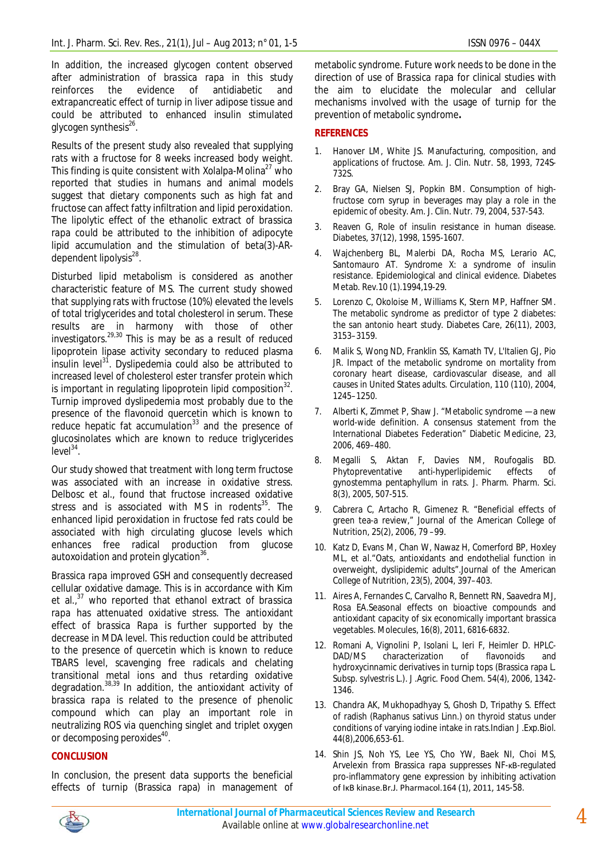In addition, the increased glycogen content observed after administration of *brassica rapa* in this study reinforces the evidence of antidiabetic and extrapancreatic effect of turnip in liver adipose tissue and could be attributed to enhanced insulin stimulated glycogen synthesis<sup>26</sup>.

Results of the present study also revealed that supplying rats with a fructose for 8 weeks increased body weight. This finding is quite consistent with Xolalpa-Molina<sup>27</sup> who reported that studies in humans and animal models suggest that dietary components such as high fat and fructose can affect fatty infiltration and lipid peroxidation. The lipolytic effect of the ethanolic extract of *brassica rapa* could be attributed to the inhibition of adipocyte lipid accumulation and the stimulation of beta(3)-ARdependent lipolysis<sup>28</sup>.

Disturbed lipid metabolism is considered as another characteristic feature of MS. The current study showed that supplying rats with fructose (10%) elevated the levels of total triglycerides and total cholesterol in serum. These results are in harmony with those of other investigators.<sup>29,30</sup> This is may be as a result of reduced lipoprotein lipase activity secondary to reduced plasma insulin level<sup>31</sup>. Dyslipedemia could also be attributed to increased level of cholesterol ester transfer protein which is important in regulating lipoprotein lipid composition $32$ . Turnip improved dyslipedemia most probably due to the presence of the flavonoid quercetin which is known to reduce hepatic fat accumulation $33$  and the presence of glucosinolates which are known to reduce triglycerides  $level<sup>34</sup>$ .

Our study showed that treatment with long term fructose was associated with an increase in oxidative stress*.* Delbosc et al., found that fructose increased oxidative stress and is associated with MS in rodents<sup>35</sup>. The enhanced lipid peroxidation in fructose fed rats could be associated with high circulating glucose levels which enhances free radical production from glucose autoxoidation and protein glycation<sup>36</sup>.

*Brassica rapa* improved GSH and consequently decreased cellular oxidative damage. This is in accordance with Kim et al., <sup>37</sup> who reported that ethanol extract of *brassica rapa* has attenuated oxidative stress. The antioxidant effect of *brassica Rapa* is further supported by the decrease in MDA level. This reduction could be attributed to the presence of quercetin which is known to reduce TBARS level, scavenging free radicals and chelating transitional metal ions and thus retarding oxidative degradation.<sup>38,39</sup> In addition, the antioxidant activity of *brassica rapa* is related to the presence of phenolic compound which can play an important role in neutralizing ROS via quenching singlet and triplet oxygen or decomposing peroxides<sup>40</sup>.

# **CONCLUSION**

In conclusion, the present data supports the beneficial effects of turnip (Brassica rapa) in management of metabolic syndrome. Future work needs to be done in the direction of use of *Brassica rapa* for clinical studies with the aim to elucidate the molecular and cellular mechanisms involved with the usage of turnip for the prevention of metabolic syndrome**.**

# **REFERENCES**

- 1. Hanover LM, White JS. Manufacturing, composition, and applications of fructose. Am. J. Clin. Nutr. 58, 1993, 724S-732S.
- Bray GA, Nielsen SJ, Popkin BM. Consumption of highfructose corn syrup in beverages may play a role in the epidemic of obesity. Am. J. Clin. Nutr. 79, 2004, 537-543.
- Reaven G. Role of insulin resistance in human disease. Diabetes, 37(12), 1998, 1595-1607.
- 4. Wajchenberg BL, Malerbi DA, Rocha MS, Lerario AC, Santomauro AT. Syndrome X: a syndrome of insulin resistance. Epidemiological and clinical evidence. Diabetes Metab. Rev.10 (1).1994,19-29.
- 5. Lorenzo C, Okoloise M, Williams K, Stern MP, Haffner SM. The metabolic syndrome as predictor of type 2 diabetes: the san antonio heart study. Diabetes Care, 26(11), 2003, 3153–3159.
- 6. Malik S, Wong ND, Franklin SS, Kamath TV, L'Italien GJ, Pio JR. Impact of the metabolic syndrome on mortality from coronary heart disease, cardiovascular disease, and all causes in United States adults. Circulation, 110 (110), 2004, 1245–1250.
- 7. Alberti K, Zimmet P, Shaw J. "Metabolic syndrome —a new world-wide definition. A consensus statement from the International Diabetes Federation" Diabetic Medicine, 23, 2006, 469–480.
- 8. Megalli S, Aktan F, Davies NM, Roufogalis BD. Phytopreventative anti-hyperlipidemic effects of gynostemma pentaphyllum in rats. J. Pharm. Pharm. Sci. 8(3), 2005, 507-515.
- 9. Cabrera C, Artacho R, Gimenez R. "Beneficial effects of green tea-a review," Journal of the American College of Nutrition, 25(2), 2006, 79 –99.
- 10. Katz D, Evans M, Chan W, Nawaz H, Comerford BP, Hoxley ML, *et al*."Oats, antioxidants and endothelial function in overweight, dyslipidemic adults".Journal of the American College of Nutrition, 23(5), 2004, 397–403.
- 11. Aires A, Fernandes C, Carvalho R, Bennett RN, Saavedra MJ, Rosa EA.Seasonal effects on bioactive compounds and antioxidant capacity of six economically important brassica vegetables. Molecules, 16(8), 2011, 6816-6832.
- 12. Romani A, Vignolini P, Isolani L, Ieri F, Heimler D. HPLC-DAD/MS characterization of flavonoids and hydroxycinnamic derivatives in turnip tops (Brassica rapa L. Subsp. sylvestris L.). J .Agric. Food Chem. 54(4), 2006, 1342- 1346.
- 13. Chandra AK, Mukhopadhyay S, Ghosh D, Tripathy S. Effect of radish (Raphanus sativus Linn.) on thyroid status under conditions of varying iodine intake in rats.Indian J .Exp.Biol. 44(8),2006,653-61.
- 14. Shin JS, Noh YS, Lee YS, Cho YW, Baek NI, Choi MS, Arvelexin from Brassica rapa suppresses NF-κB-regulated pro-inflammatory gene expression by inhibiting activation of IκB kinase.Br.J. Pharmacol.164 (1), 2011, 145-58.